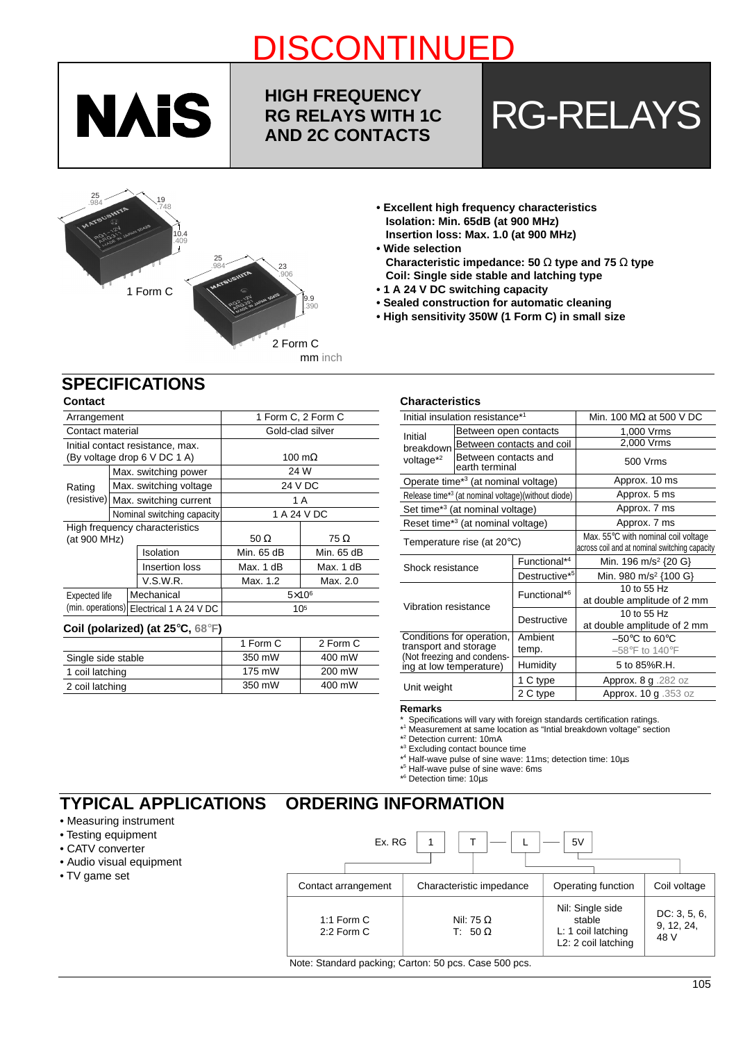

## **HIGH FREQUENCY RG RELAYS WITH 1C**

<u>Discontinued by the continued by the continued by the continued by the continued by the continued by the conti</u>

# RG RELAYS WITH 1C RG-RELAYS



- **Excellent high frequency characteristics Isolation: Min. 65dB (at 900 MHz) Insertion loss: Max. 1.0 (at 900 MHz)**
- **Wide selection Characteristic impedance: 50** Ω **type and 75** Ω **type Coil: Single side stable and latching type**
- **1 A 24 V DC switching capacity**
- **Sealed construction for automatic cleaning**
- **High sensitivity 350W (1 Form C) in small size**

### **SPECIFICATIONS**

#### **Contact**

| Arrangement      |            |  |                                          | 1 Form C, 2 Form C |                |  |  |  |
|------------------|------------|--|------------------------------------------|--------------------|----------------|--|--|--|
| Contact material |            |  |                                          | Gold-clad silver   |                |  |  |  |
|                  |            |  | Initial contact resistance, max.         |                    |                |  |  |  |
|                  |            |  | (By voltage drop 6 V DC 1 A)             |                    | 100 m $\Omega$ |  |  |  |
|                  |            |  | Max. switching power                     | 24 W               |                |  |  |  |
| Rating           |            |  | Max. switching voltage                   |                    | 24 V DC        |  |  |  |
|                  |            |  | (resistive) Max. switching current       | 1 A                |                |  |  |  |
|                  |            |  | Nominal switching capacity               | 1 A 24 V DC        |                |  |  |  |
|                  |            |  | High frequency characteristics           |                    |                |  |  |  |
| (at 900 MHz)     |            |  |                                          | 50 $\Omega$        | 75 Ω           |  |  |  |
|                  |            |  | Isolation                                | Min. 65 dB         | Min. 65 dB     |  |  |  |
|                  |            |  | Insertion loss                           | Max. 1 dB          | Max. 1 dB      |  |  |  |
| V.S.W.R.         |            |  |                                          | Max. 1.2           | Max. 2.0       |  |  |  |
| Expected life    | Mechanical |  |                                          | $5\times10^6$      |                |  |  |  |
|                  |            |  | (min. operations) Electrical 1 A 24 V DC |                    | 105            |  |  |  |
|                  |            |  |                                          |                    |                |  |  |  |

#### **Coil (polarized) (at 25**°**C, 68**°**F)**

|                    | 1 Form C | 2 Form C |
|--------------------|----------|----------|
| Single side stable | 350 mW   | 400 mW   |
| 1 coil latching    | 175 mW   | 200 mW   |
| 2 coil latching    | 350 mW   | 400 mW   |

#### **Characteristics**

|                                      | Initial insulation resistance*1                 |                                                                | Min. 100 $M\Omega$ at 500 V DC                                                       |  |
|--------------------------------------|-------------------------------------------------|----------------------------------------------------------------|--------------------------------------------------------------------------------------|--|
| Initial                              | Between open contacts                           |                                                                | 1,000 Vrms                                                                           |  |
| breakdown                            |                                                 | Between contacts and coil                                      | 2,000 Vrms                                                                           |  |
| voltage <sup>*2</sup>                | Between contacts and<br>earth terminal          |                                                                | 500 Vrms                                                                             |  |
|                                      | Operate time <sup>*3</sup> (at nominal voltage) |                                                                | Approx. 10 ms                                                                        |  |
|                                      |                                                 | Release time* <sup>3</sup> (at nominal voltage)(without diode) | Approx. 5 ms                                                                         |  |
|                                      | Set time <sup>*3</sup> (at nominal voltage)     |                                                                | Approx. 7 ms                                                                         |  |
|                                      | Reset time*3 (at nominal voltage)               |                                                                | Approx. 7 ms                                                                         |  |
| Temperature rise (at $20^{\circ}$ C) |                                                 |                                                                | Max. 55°C with nominal coil voltage<br>across coil and at nominal switching capacity |  |
| Shock resistance                     |                                                 | Functional* <sup>4</sup>                                       | Min. 196 m/s <sup>2</sup> {20 G}                                                     |  |
|                                      |                                                 | Destructive <sup>*5</sup>                                      | Min. 980 m/s <sup>2</sup> {100 G}                                                    |  |
| Vibration resistance                 |                                                 | Functional* <sup>6</sup>                                       | 10 to 55 Hz<br>at double amplitude of 2 mm                                           |  |
|                                      |                                                 | Destructive                                                    | 10 to 55 Hz<br>at double amplitude of 2 mm                                           |  |
|                                      | Conditions for operation,                       | Ambient                                                        | $-50^{\circ}$ C to 60 $^{\circ}$ C                                                   |  |
| transport and storage                | (Not freezing and condens-                      | temp.                                                          | $-58^{\circ}$ F to 140 $^{\circ}$ F                                                  |  |
| ing at low temperature)              |                                                 | Humidity                                                       | 5 to 85%R.H.                                                                         |  |
|                                      |                                                 | 1 C type                                                       | Approx. 8 g .282 oz                                                                  |  |
| Unit weight                          |                                                 | 2 C type                                                       | Approx. 10 g .353 oz                                                                 |  |

#### **Remarks**

**ORDERING INFORMATION**

\* Specifications will vary with foreign standards certification ratings.

\* 1 Measurement at same location as "Intial breakdown voltage" section

\* 2 Detection current: 10mA

\* 3 Excluding contact bounce time

\* 4 Half-wave pulse of sine wave: 11ms; detection time: 10µs

\* 5 Half-wave pulse of sine wave: 6ms

\* 6 Detection time: 10µs

## **TYPICAL APPLICATIONS**

#### • Measuring instrument

- Testing equipment
- CATV converter
- Audio visual equipment
- TV game set

| Ex. RG                                                |                                    | 5V                                                                      |                                    |  |  |  |  |  |
|-------------------------------------------------------|------------------------------------|-------------------------------------------------------------------------|------------------------------------|--|--|--|--|--|
| Contact arrangement                                   | Characteristic impedance           | Operating function                                                      | Coil voltage                       |  |  |  |  |  |
| 1:1 Form $C$<br>$2:2$ Form C                          | Nil: 75 $\Omega$<br>T: 50 $\Omega$ | Nil: Single side<br>stable<br>L: 1 coil latching<br>L2: 2 coil latching | DC: 3, 5, 6,<br>9, 12, 24,<br>48 V |  |  |  |  |  |
| Note: Standard packing; Carton: 50 pcs. Case 500 pcs. |                                    |                                                                         |                                    |  |  |  |  |  |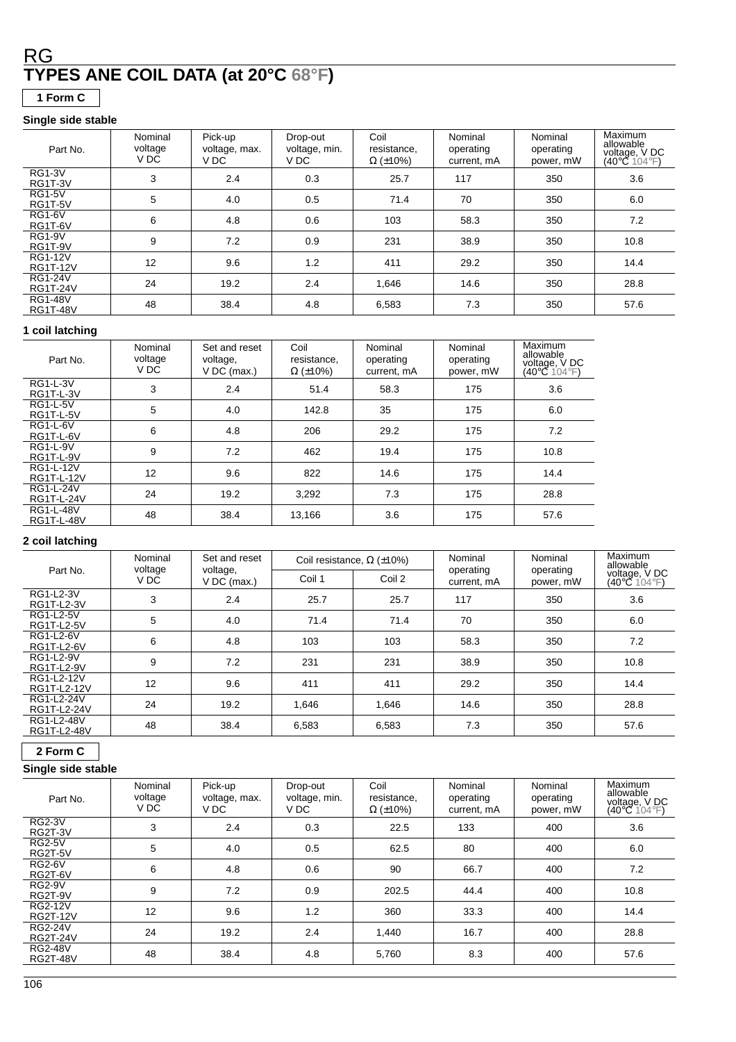## **TYPES ANE COIL DATA (at 20°C 68°F)** RG

**1 Form C**

#### **Single side stable**

| Part No.                          | Nominal<br>voltage<br>V DC | Pick-up<br>voltage, max.<br>V DC | Drop-out<br>voltage, min.<br>V DC | Coil<br>resistance,<br>$\Omega$ (±10%) | Nominal<br>operating<br>current. mA | Nominal<br>operating<br>power, mW | Maximum<br>allowable<br>voltage, V DC<br>(40°C 104°F) |
|-----------------------------------|----------------------------|----------------------------------|-----------------------------------|----------------------------------------|-------------------------------------|-----------------------------------|-------------------------------------------------------|
| <b>RG1-3V</b><br>RG1T-3V          | 3                          | 2.4                              | 0.3                               | 25.7                                   | 117                                 | 350                               | 3.6                                                   |
| <b>RG1-5V</b><br>RG1T-5V          | 5                          | 4.0                              | 0.5                               | 71.4                                   | 70                                  | 350                               | 6.0                                                   |
| <b>RG1-6V</b><br>RG1T-6V          | 6                          | 4.8                              | 0.6                               | 103                                    | 58.3                                | 350                               | 7.2                                                   |
| <b>RG1-9V</b><br>RG1T-9V          | 9                          | 7.2                              | 0.9                               | 231                                    | 38.9                                | 350                               | 10.8                                                  |
| <b>RG1-12V</b><br><b>RG1T-12V</b> | 12                         | 9.6                              | 1.2                               | 411                                    | 29.2                                | 350                               | 14.4                                                  |
| <b>RG1-24V</b><br><b>RG1T-24V</b> | 24                         | 19.2                             | 2.4                               | 1,646                                  | 14.6                                | 350                               | 28.8                                                  |
| <b>RG1-48V</b><br><b>RG1T-48V</b> | 48                         | 38.4                             | 4.8                               | 6,583                                  | 7.3                                 | 350                               | 57.6                                                  |

#### **1 coil latching**

| Part No.                       | Nominal<br>voltage<br>V DC | Set and reset<br>voltage,<br>$V$ DC (max.) | Coil<br>resistance,<br>$\Omega$ (±10%) | Nominal<br>operating<br>current. mA | Nominal<br>operating<br>power, mW | Maximum<br>allowable<br>voltage, V DC<br>(40°C⊂104°F) |
|--------------------------------|----------------------------|--------------------------------------------|----------------------------------------|-------------------------------------|-----------------------------------|-------------------------------------------------------|
| <b>RG1-L-3V</b><br>RG1T-L-3V   | 3                          | 2.4                                        | 51.4                                   | 58.3                                | 175                               | 3.6                                                   |
| <b>RG1-L-5V</b><br>RG1T-L-5V   | 5                          | 4.0                                        | 142.8                                  | 35                                  | 175                               | 6.0                                                   |
| <b>RG1-L-6V</b><br>RG1T-L-6V   | 6                          | 4.8                                        | 206                                    | 29.2                                | 175                               | 7.2                                                   |
| <b>RG1-L-9V</b><br>RG1T-L-9V   | 9                          | 7.2                                        | 462                                    | 19.4                                | 175                               | 10.8                                                  |
| RG1-L-12V<br>RG1T-L-12V        | 12                         | 9.6                                        | 822                                    | 14.6                                | 175                               | 14.4                                                  |
| RG1-L-24V<br><b>RG1T-L-24V</b> | 24                         | 19.2                                       | 3,292                                  | 7.3                                 | 175                               | 28.8                                                  |
| RG1-L-48V<br><b>RG1T-L-48V</b> | 48                         | 38.4                                       | 13,166                                 | 3.6                                 | 175                               | 57.6                                                  |

#### **2 coil latching**

|                                | Nominal         | Set and reset           | Coil resistance, $\Omega$ ( $\pm$ 10%) |        | Nominal                  | Nominal                | Maximum<br>allowable                               |
|--------------------------------|-----------------|-------------------------|----------------------------------------|--------|--------------------------|------------------------|----------------------------------------------------|
| Part No.                       | voltage<br>V DC | voltage,<br>V DC (max.) | Coil 1                                 | Coil 2 | operating<br>current, mA | operating<br>power, mW | voltage, V DC<br>$(40^{\circ}$ C 104 $^{\circ}$ F) |
| RG1-L2-3V<br>RG1T-L2-3V        | 3               | 2.4                     | 25.7                                   | 25.7   | 117                      | 350                    | 3.6                                                |
| RG1-L2-5V<br><b>RG1T-L2-5V</b> | 5               | 4.0                     | 71.4                                   | 71.4   | 70                       | 350                    | 6.0                                                |
| RG1-L2-6V<br><b>RG1T-L2-6V</b> | 6               | 4.8                     | 103                                    | 103    | 58.3                     | 350                    | 7.2                                                |
| RG1-L2-9V<br><b>RG1T-L2-9V</b> | 9               | 7.2                     | 231                                    | 231    | 38.9                     | 350                    | 10.8                                               |
| RG1-L2-12V<br>RG1T-L2-12V      | 12              | 9.6                     | 411                                    | 411    | 29.2                     | 350                    | 14.4                                               |
| RG1-L2-24V<br>RG1T-L2-24V      | 24              | 19.2                    | 1.646                                  | 1.646  | 14.6                     | 350                    | 28.8                                               |
| RG1-L2-48V<br>RG1T-L2-48V      | 48              | 38.4                    | 6,583                                  | 6,583  | 7.3                      | 350                    | 57.6                                               |

#### **2 Form C**

#### **Single side stable**

| Part No.                          | Nominal<br>voltage<br>V DC | Pick-up<br>voltage, max.<br>V DC | Drop-out<br>voltage, min.<br>V DC | Coil<br>resistance,<br>$\Omega$ (±10%) | Nominal<br>operating<br>current, mA | Nominal<br>operating<br>power, mW | <b>Maximum</b><br>allowable<br>voltage, V DC<br>$(40^{\circ}$ C 104 $^{\circ}$ F) |
|-----------------------------------|----------------------------|----------------------------------|-----------------------------------|----------------------------------------|-------------------------------------|-----------------------------------|-----------------------------------------------------------------------------------|
| <b>RG2-3V</b><br>RG2T-3V          | 3                          | 2.4                              | 0.3                               | 22.5                                   | 133                                 | 400                               | 3.6                                                                               |
| <b>RG2-5V</b><br>RG2T-5V          | 5                          | 4.0                              | 0.5                               | 62.5                                   | 80                                  | 400                               | 6.0                                                                               |
| <b>RG2-6V</b><br>RG2T-6V          | 6                          | 4.8                              | 0.6                               | 90                                     | 66.7                                | 400                               | 7.2                                                                               |
| <b>RG2-9V</b><br>RG2T-9V          | 9                          | 7.2                              | 0.9                               | 202.5                                  | 44.4                                | 400                               | 10.8                                                                              |
| <b>RG2-12V</b><br><b>RG2T-12V</b> | 12                         | 9.6                              | 1.2                               | 360                                    | 33.3                                | 400                               | 14.4                                                                              |
| <b>RG2-24V</b><br><b>RG2T-24V</b> | 24                         | 19.2                             | 2.4                               | 1,440                                  | 16.7                                | 400                               | 28.8                                                                              |
| <b>RG2-48V</b><br><b>RG2T-48V</b> | 48                         | 38.4                             | 4.8                               | 5,760                                  | 8.3                                 | 400                               | 57.6                                                                              |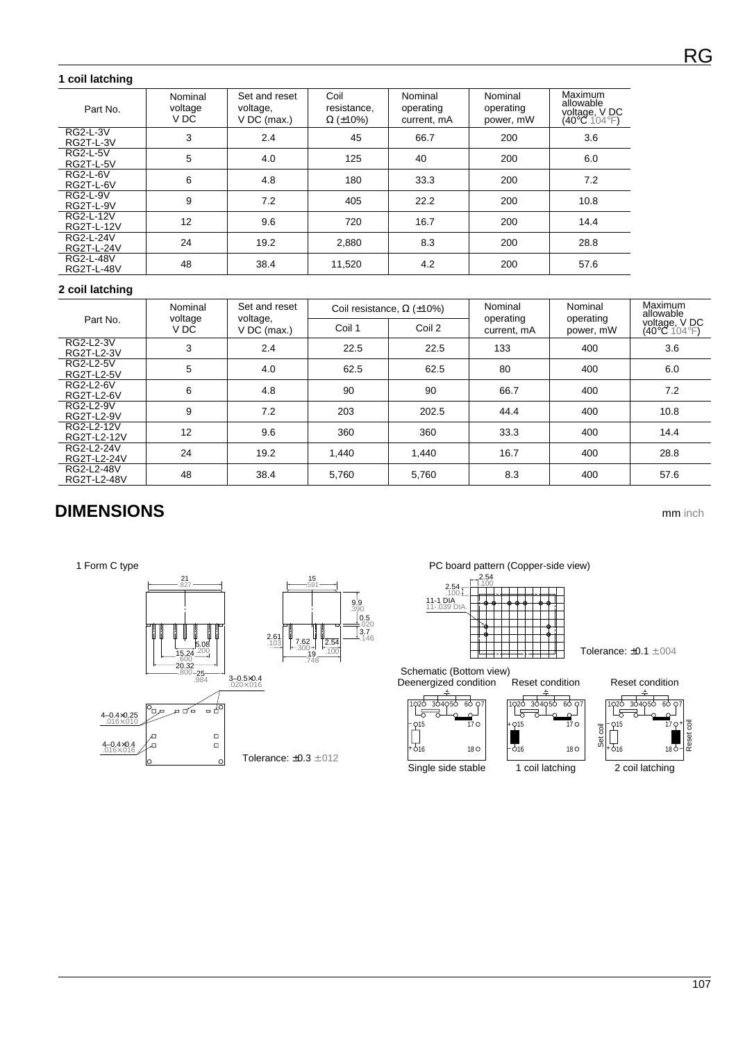#### **1 coil latching**

| Part No.                       | Nominal<br>voltage<br>V DC | Set and reset<br>voltage,<br>$V$ DC (max.) | Coil<br>resistance,<br>$\Omega$ (±10%) | Nominal<br>operating<br>current, mA | Nominal<br>operating<br>power, mW | Maximum<br>allowable<br>voltage, V DC<br>(40°C 104°F) |
|--------------------------------|----------------------------|--------------------------------------------|----------------------------------------|-------------------------------------|-----------------------------------|-------------------------------------------------------|
| <b>RG2-L-3V</b><br>RG2T-L-3V   | 3                          | 2.4                                        | 45                                     | 66.7                                | 200                               | 3.6                                                   |
| <b>RG2-L-5V</b><br>RG2T-L-5V   | 5                          | 4.0                                        | 125                                    | 40                                  | 200                               | 6.0                                                   |
| RG2-L-6V<br>RG2T-L-6V          | 6                          | 4.8                                        | 180                                    | 33.3                                | 200                               | 7.2                                                   |
| <b>RG2-L-9V</b><br>RG2T-L-9V   | 9                          | 7.2                                        | 405                                    | 22.2                                | 200                               | 10.8                                                  |
| RG2-L-12V<br>RG2T-L-12V        | 12                         | 9.6                                        | 720                                    | 16.7                                | 200                               | 14.4                                                  |
| RG2-L-24V<br>RG2T-L-24V        | 24                         | 19.2                                       | 2,880                                  | 8.3                                 | 200                               | 28.8                                                  |
| RG2-L-48V<br><b>RG2T-L-48V</b> | 48                         | 38.4                                       | 11,520                                 | 4.2                                 | 200                               | 57.6                                                  |

#### **2 coil latching**

|                                       | Nominal         | Set and reset           |        | Coil resistance, $\Omega$ ( $\pm$ 10%) | Nominal                  | Nominal                | Maximum<br>allowable                   |
|---------------------------------------|-----------------|-------------------------|--------|----------------------------------------|--------------------------|------------------------|----------------------------------------|
| Part No.                              | voltage<br>V DC | voltage,<br>V DC (max.) | Coil 1 | Coil 2                                 | operating<br>current. mA | operating<br>power, mW | voltage, V DC<br>$(40^{\circ}C$ 104°F) |
| RG2-L2-3V<br>RG2T-L2-3V               | 3               | 2.4                     | 22.5   | 22.5                                   | 133                      | 400                    | 3.6                                    |
| RG2-L2-5V<br><b>RG2T-L2-5V</b>        | 5               | 4.0                     | 62.5   | 62.5                                   | 80                       | 400                    | 6.0                                    |
| <b>RG2-L2-6V</b><br><b>RG2T-L2-6V</b> | 6               | 4.8                     | 90     | 90                                     | 66.7                     | 400                    | 7.2                                    |
| RG2-L2-9V<br><b>RG2T-L2-9V</b>        | 9               | 7.2                     | 203    | 202.5                                  | 44.4                     | 400                    | 10.8                                   |
| RG2-L2-12V<br>RG2T-L2-12V             | 12              | 9.6                     | 360    | 360                                    | 33.3                     | 400                    | 14.4                                   |
| RG2-L2-24V<br>RG2T-L2-24V             | 24              | 19.2                    | 1.440  | 1,440                                  | 16.7                     | 400                    | 28.8                                   |
| RG2-L2-48V<br>RG2T-L2-48V             | 48              | 38.4                    | 5,760  | 5,760                                  | 8.3                      | 400                    | 57.6                                   |

## **DIMENSIONS** mm inch







Schematic (Bottom view)



Single side stable



18

 $-516$ 

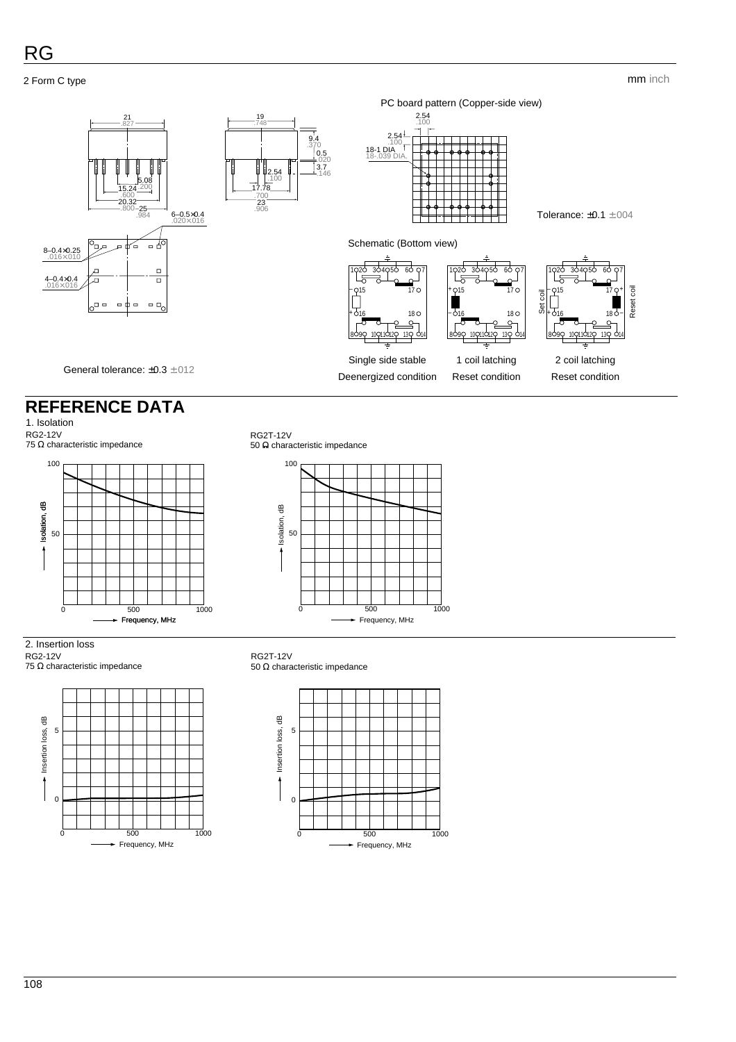2 Form C type

#### mm inch



## **REFERENCE DATA**

1. Isolation

RG2-12V 75 Ω characteristic impedance



#### RG2T-12V 50 Ω characteristic impedance



2. Insertion loss

RG2-12V 75 Ω characteristic impedance



#### RG2T-12V 50 Ω characteristic impedance

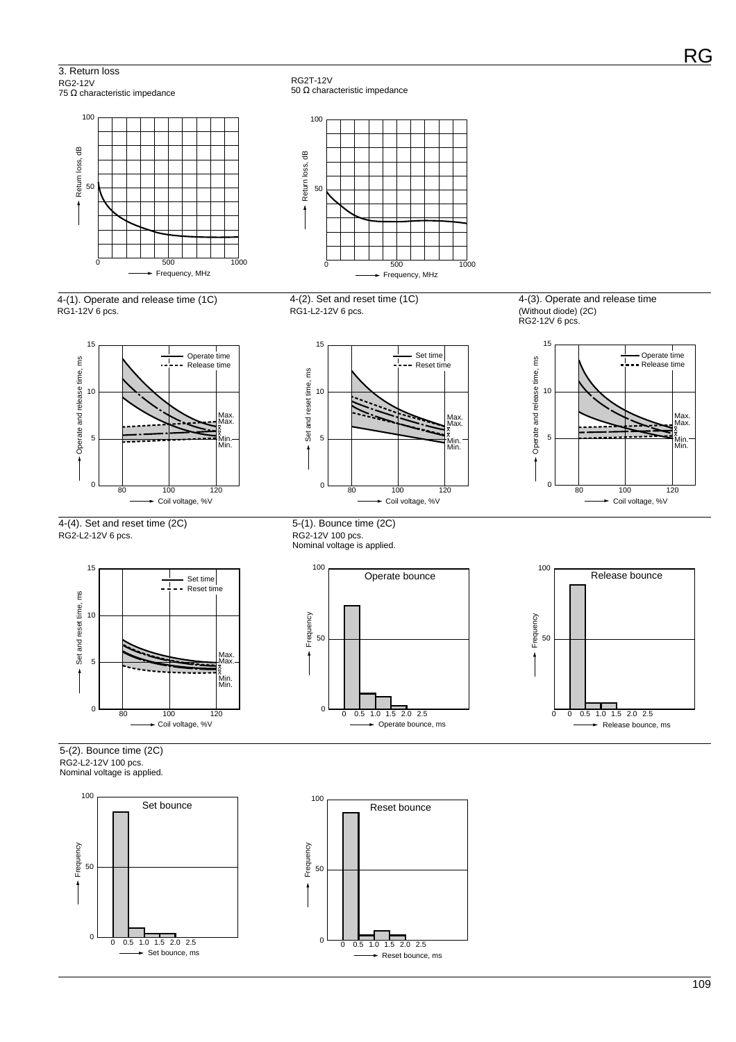3. Return loss RG2-12V

100

50

Return loss, dB

Return loss, dB







4-(4). Set and reset time (2C) RG2-L2-12V 6 pcs.







5-(2). Bounce time (2C)

RG2-L2-12V 100 pcs. Nominal voltage is applied.





RG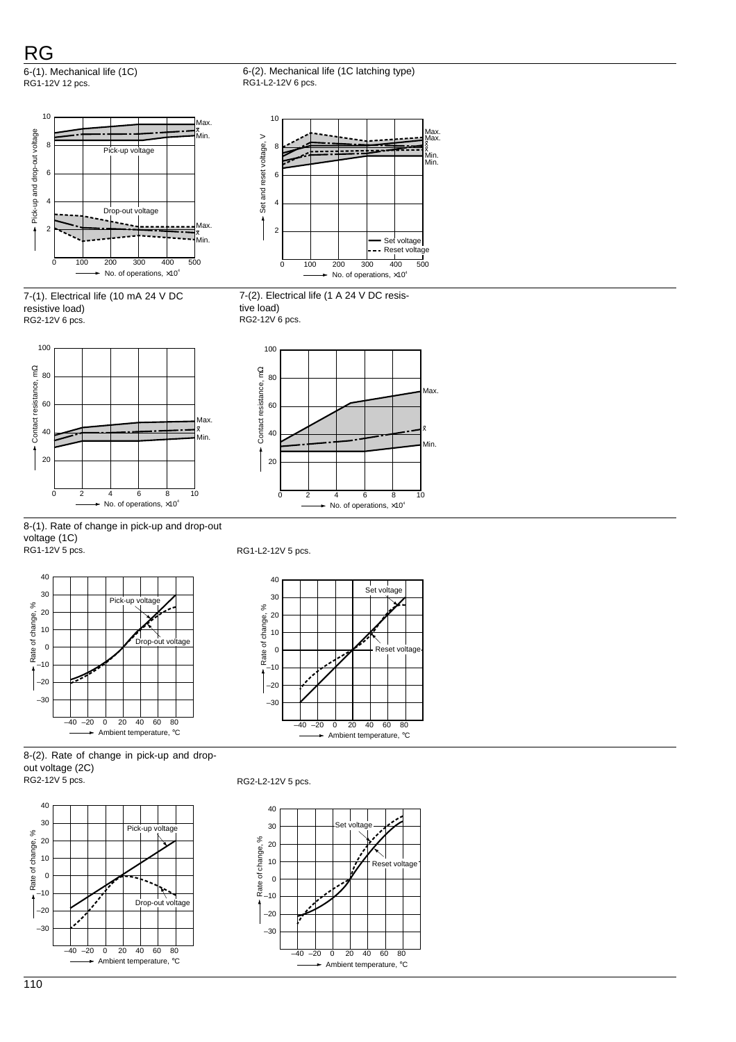RG

6-(1). Mechanical life (1C) RG1-12V 12 pcs.









x x Max. Min. Min.

∍

Max.

7-(2). Electrical life (1 A 24 V DC resistive load) RG2-12V 6 pcs.

8

10









RG1-L2-12V 5 pcs.



8-(2). Rate of change in pick-up and dropout voltage (2C)<br>RG2-12V 5 pcs.



RG2-L2-12V 5 pcs.